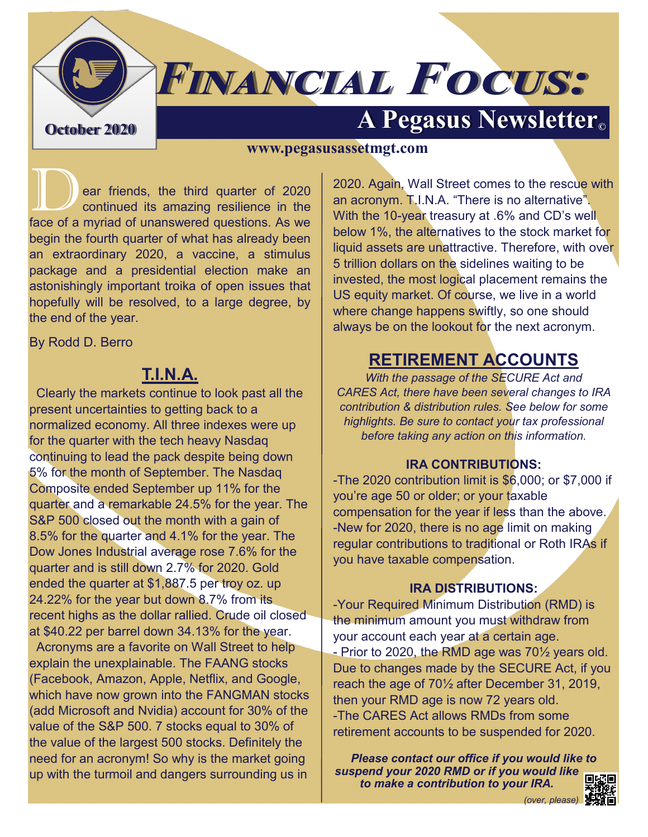# **FINANCIAL FOCUS: A Pegasus Newsletter Container** 2020

### **www.pegasusassetmgt.com**

ear friends, the third quarter of 2020 continued its amazing resilience in the face of a myriad of unanswered questions. As we begin the fourth quarter of what has already been an extraordinary 2020, a vaccine, a stimulus package and a presidential election make an astonishingly important troika of open issues that hopefully will be resolved, to a large degree, by the end of the year.

By Rodd D. Berro

### **T.I.N.A.**

 Clearly the markets continue to look past all the present uncertainties to getting back to a normalized economy. All three indexes were up for the quarter with the tech heavy Nasdaq continuing to lead the pack despite being down 5% for the month of September. The Nasdaq Composite ended September up 11% for the quarter and a remarkable 24.5% for the year. The S&P 500 closed out the month with a gain of 8.5% for the quarter and 4.1% for the year. The Dow Jones Industrial average rose 7.6% for the quarter and is still down 2.7% for 2020. Gold ended the quarter at \$1,887.5 per troy oz. up 24.22% for the year but down 8.7% from its recent highs as the dollar rallied. Crude oil closed at \$40.22 per barrel down 34.13% for the year. Acronyms are a favorite on Wall Street to help explain the unexplainable. The FAANG stocks (Facebook, Amazon, Apple, Netflix, and Google, which have now grown into the FANGMAN stocks (add Microsoft and Nvidia) account for 30% of the

value of the S&P 500. 7 stocks equal to 30% of the value of the largest 500 stocks. Definitely the need for an acronym! So why is the market going up with the turmoil and dangers surrounding us in

2020. Again, Wall Street comes to the rescue with an acronym. T.I.N.A. "There is no alternative". With the 10-year treasury at .6% and CD's well below 1%, the alternatives to the stock market for liquid assets are unattractive. Therefore, with over 5 trillion dollars on the sidelines waiting to be invested, the most logical placement remains the US equity market. Of course, we live in a world where change happens swiftly, so one should always be on the lookout for the next acronym.

### **RETIREMENT ACCOUNTS**

*With the passage of the SECURE Act and CARES Act, there have been several changes to IRA contribution & distribution rules. See below for some highlights. Be sure to contact your tax professional before taking any action on this information.*

#### **IRA CONTRIBUTIONS:**

-The 2020 contribution limit is \$6,000; or \$7,000 if you're age 50 or older; or your taxable compensation for the year if less than the above. -New for 2020, there is no age limit on making regular contributions to traditional or Roth IRAs if you have taxable compensation.

#### **IRA DISTRIBUTIONS:**

-Your Required Minimum Distribution (RMD) is the minimum amount you must withdraw from your account each year at a certain age. - Prior to 2020, the RMD age was 70<sup>1/2</sup> years old. Due to changes made by the SECURE Act, if you reach the age of 70½ after December 31, 2019, then your RMD age is now 72 years old. -The CARES Act allows RMDs from some retirement accounts to be suspended for 2020.

*Please contact our office if you would like to suspend your 2020 RMD or if you would like to make a contribution to your IRA.*